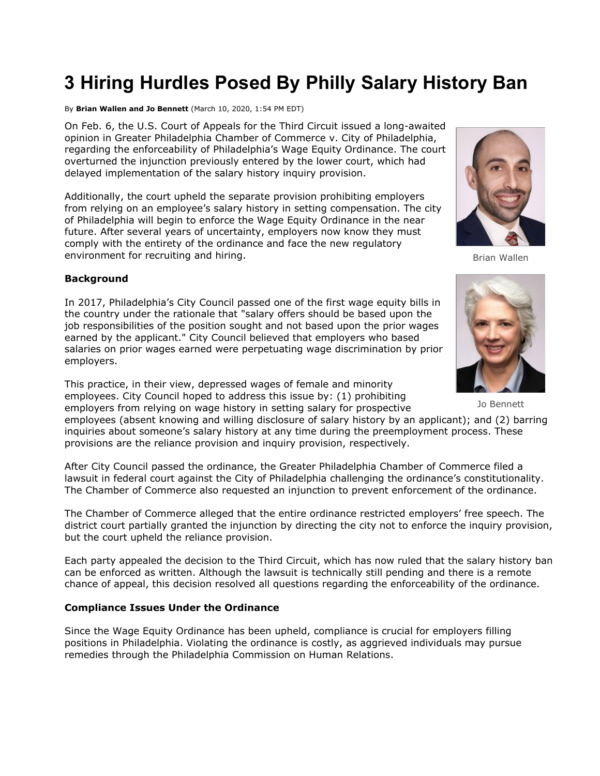# **3 Hiring Hurdles Posed By Philly Salary History Ban**

By **Brian Wallen and Jo Bennett** (March 10, 2020, 1:54 PM EDT)

On Feb. 6, the U.S. Court of Appeals for the Third Circuit issued a long-awaited opinion in Greater Philadelphia Chamber of Commerce v. City of Philadelphia, regarding the enforceability of Philadelphia's Wage Equity Ordinance. The court overturned the injunction previously entered by the lower court, which had delayed implementation of the salary history inquiry provision.

Additionally, the c[ourt upheld the separate provision prohibit](https://www.law360.com/agencies/u-s-court-of-appeals-for-the-third-circuit)ing employers from relying on an employee's salary history in setting compensation. The city of Philadelphia will begin to enforce the Wage Equity Ordinance in the near future. After several years of uncertainty, employers now know they must comply with the entirety of the ordinance and face the new regulatory environment for recruiting and hiring.

#### **Background**

In 2017, Philadelphia's City Council passed one of the first wage equity bills in the country under the rationale that "salary offers should be based upon the job responsibilities of the position sought and not based upon the prior wages earned by the applicant." City Council believed that employers who based salaries on prior wages earned were perpetuating wage discrimination by prior employers.

This practice, in their view, depressed wages of female and minority employees. City Council hoped to address this issue by: (1) prohibiting

provisions are the reliance provision and inquiry provision, respectively.

employers from relying on wage history in setting salary for prospective employees (absent knowing and willing disclosure of salary history by an applicant); and (2) barring inquiries about someone's salary history at any time during the preemployment process. These

After City Council passed the ordinance, the Greater Philadelphia Chamber of Commerce filed a lawsuit in federal court against the City of Philadelphia challenging the ordinance's constitutionality. The Chamber of Commerce also requested an injunction to prevent enforcement of the ordinance.

The Chamber of Commerce alleged that the entire ordinance restricted employers' free speech. The district court partially granted the injunction by directing the city not to enforce the inquiry provision, but the court upheld the reliance provision.

Each party appealed the decision to the Third Circuit, which has now ruled that the salary history ban can be enforced as written. Although the lawsuit is technically still pending and there is a remote chance of appeal, this decision resolved all questions regarding the enforceability of the ordinance.

#### **Compliance Issues Under the Ordinance**

Since the Wage Equity Ordinance has been upheld, compliance is crucial for employers filling positions in Philadelphia. Violating the ordinance is costly, as aggrieved individuals may pursue remedies through the Philadelphia Commission on Human Relations.



Brian Wallen



Jo Bennett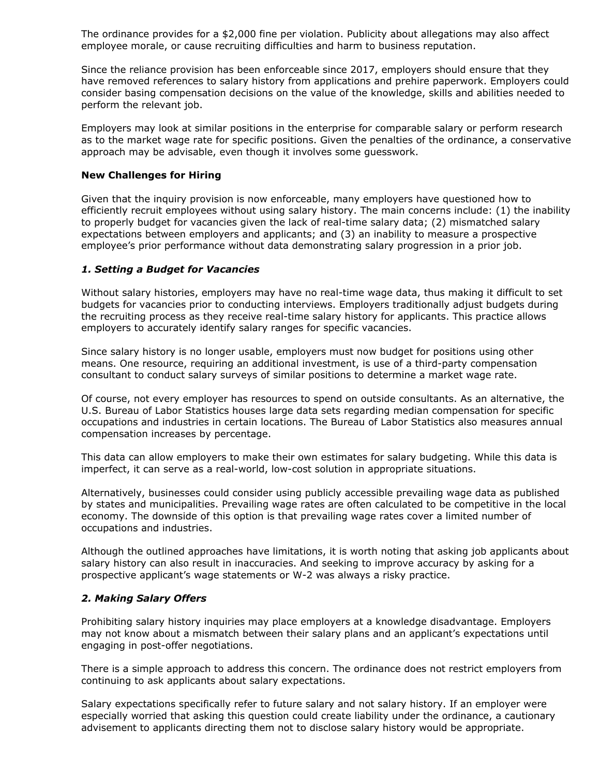The ordinance provides for a \$2,000 fine per violation. Publicity about allegations may also affect employee morale, or cause recruiting difficulties and harm to business reputation.

Since the reliance provision has been enforceable since 2017, employers should ensure that they have removed references to salary history from applications and prehire paperwork. Employers could consider basing compensation decisions on the value of the knowledge, skills and abilities needed to perform the relevant job.

Employers may look at similar positions in the enterprise for comparable salary or perform research as to the market wage rate for specific positions. Given the penalties of the ordinance, a conservative approach may be advisable, even though it involves some guesswork.

#### **New Challenges for Hiring**

Given that the inquiry provision is now enforceable, many employers have questioned how to efficiently recruit employees without using salary history. The main concerns include: (1) the inability to properly budget for vacancies given the lack of real-time salary data; (2) mismatched salary expectations between employers and applicants; and (3) an inability to measure a prospective employee's prior performance without data demonstrating salary progression in a prior job.

### *1. Setting a Budget for Vacancies*

Without salary histories, employers may have no real-time wage data, thus making it difficult to set budgets for vacancies prior to conducting interviews. Employers traditionally adjust budgets during the recruiting process as they receive real-time salary history for applicants. This practice allows employers to accurately identify salary ranges for specific vacancies.

Since salary history is no longer usable, employers must now budget for positions using other means. One resource, requiring an additional investment, is use of a third-party compensation consultant to conduct salary surveys of similar positions to determine a market wage rate.

Of course, not every employer has resources to spend on outside consultants. As an alternative, the U.S. [Bureau of Labor Statistics](https://www.law360.com/agencies/bureau-of-labor-statistics) houses large data sets regarding median compensation for specific occupations and industries in certain locations. The Bureau of Labor Statistics also measures annual compensation increases by percentage.

This data can allow employers to make their own estimates for salary budgeting. While this data is imperfect, it can serve as a real-world, low-cost solution in appropriate situations.

Alternatively, businesses could consider using publicly accessible prevailing wage data as published by states and municipalities. Prevailing wage rates are often calculated to be competitive in the local economy. The downside of this option is that prevailing wage rates cover a limited number of occupations and industries.

Although the outlined approaches have limitations, it is worth noting that asking job applicants about salary history can also result in inaccuracies. And seeking to improve accuracy by asking for a prospective applicant's wage statements or W-2 was always a risky practice.

### *2. Making Salary Offers*

Prohibiting salary history inquiries may place employers at a knowledge disadvantage. Employers may not know about a mismatch between their salary plans and an applicant's expectations until engaging in post-offer negotiations.

There is a simple approach to address this concern. The ordinance does not restrict employers from continuing to ask applicants about salary expectations.

Salary expectations specifically refer to future salary and not salary history. If an employer were especially worried that asking this question could create liability under the ordinance, a cautionary advisement to applicants directing them not to disclose salary history would be appropriate.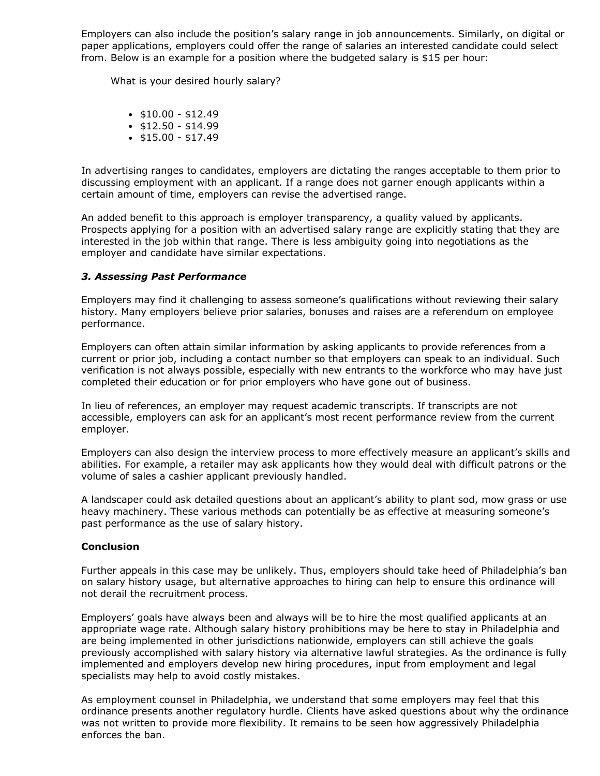Employers can also include the position's salary range in job announcements. Similarly, on digital or paper applications, employers could offer the range of salaries an interested candidate could select from. Below is an example for a position where the budgeted salary is \$15 per hour:

What is your desired hourly salary?

- $\cdot$  \$10.00 \$12.49
- $\cdot$  \$12.50 \$14.99
- $\cdot$  \$15.00 \$17.49

In advertising ranges to candidates, employers are dictating the ranges acceptable to them prior to discussing employment with an applicant. If a range does not garner enough applicants within a certain amount of time, employers can revise the advertised range.

An added benefit to this approach is employer transparency, a quality valued by applicants. Prospects applying for a position with an advertised salary range are explicitly stating that they are interested in the job within that range. There is less ambiguity going into negotiations as the employer and candidate have similar expectations.

## *3. Assessing Past Performance*

Employers may find it challenging to assess someone's qualifications without reviewing their salary history. Many employers believe prior salaries, bonuses and raises are a referendum on employee performance.

Employers can often attain similar information by asking applicants to provide references from a current or prior job, including a contact number so that employers can speak to an individual. Such verification is not always possible, especially with new entrants to the workforce who may have just completed their education or for prior employers who have gone out of business.

In lieu of references, an employer may request academic transcripts. If transcripts are not accessible, employers can ask for an applicant's most recent performance review from the current employer.

Employers can also design the interview process to more effectively measure an applicant's skills and abilities. For example, a retailer may ask applicants how they would deal with difficult patrons or the volume of sales a cashier applicant previously handled.

A landscaper could ask detailed questions about an applicant's ability to plant sod, mow grass or use heavy machinery. These various methods can potentially be as effective at measuring someone's past performance as the use of salary history.

### **Conclusion**

Further appeals in this case may be unlikely. Thus, employers should take heed of Philadelphia's ban on salary history usage, but alternative approaches to hiring can help to ensure this ordinance will not derail the recruitment process.

Employers' goals have always been and always will be to hire the most qualified applicants at an appropriate wage rate. Although salary history prohibitions may be here to stay in Philadelphia and are being implemented in other jurisdictions nationwide, employers can still achieve the goals previously accomplished with salary history via alternative lawful strategies. As the ordinance is fully implemented and employers develop new hiring procedures, input from employment and legal specialists may help to avoid costly mistakes.

As employment counsel in Philadelphia, we understand that some employers may feel that this ordinance presents another regulatory hurdle. Clients have asked questions about why the ordinance was not written to provide more flexibility. It remains to be seen how aggressively Philadelphia enforces the ban.